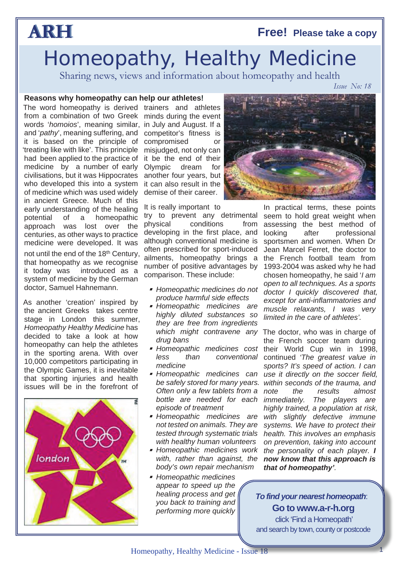### **Free! Please take a copy**

*Issue No: 18*

## **ARH**

# Homeopathy, Healthy Medicine

Sharing news, views and information about homeopathy and health

### **Reasons why homeopathy can help our athletes!**

The word homeopathy is derived from a combination of two Greek words '*homoios*', meaning similar, and '*pathy*', meaning suffering, and it is based on the principle of 'treating like with like'. This principle had been applied to the practice of medicine by a number of early civilisations, but it was Hippocrates who developed this into a system of medicine which was used widely in ancient Greece. Much of this early understanding of the healing potential of a homeopathic approach was lost over the centuries, as other ways to practice medicine were developed. It was not until the end of the 18th Century, that homeopathy as we recognise it today was introduced as a

As another 'creation' inspired by the ancient Greeks takes centre stage in London this summer, *Homeopathy Healthy Medicine* has decided to take a look at how homeopathy can help the athletes in the sporting arena. With over 10,000 competitors participating in the Olympic Games, it is inevitable that sporting injuries and health issues will be in the forefront of

system of medicine by the German doctor, Samuel Hahnemann.



trainers and athletes minds during the event in July and August. If a competitor's fitness is compromised or misjudged, not only can it be the end of their Olympic dream for another four years, but it can also result in the demise of their career.

It is really important to

try to prevent any detrimental physical conditions from developing in the first place, and although conventional medicine is often prescribed for sport-induced ailments, homeopathy brings a number of positive advantages by comparison. These include:

- *Homeopathic medicines do not produce harmful side effects*
- *Homeopathic medicines are highly diluted substances so they are free from ingredients drug bans*
- *medicine*
- *Homeopathic medicines can Often only a few tablets from a bottle are needed for each episode of treatment*
- *not tested on animals. They are tested through systematic trials with healthy human volunteers*
- *Homeopathic medicines work with, rather than against, the body's own repair mechanism*
- *Homeopathic medicines appear to speed up the healing process and get you back to training and performing more quickly*



In practical terms, these points seem to hold great weight when assessing the best method of looking after professional sportsmen and women. When Dr Jean Marcel Ferret, the doctor to the French football team from 1993-2004 was asked why he had chosen homeopathy, he said '*I am open to all techniques. As a sports doctor I quickly discovered that, except for anti-inflammatories and muscle relaxants, I was very limited in the care of athletes'.*

*which might contravene any* The doctor, who was in charge of  *Homeopathic medicines cost* their World Cup win in 1998, less than conventional continued 'The greatest value in *be safely stored for many years. within seconds of the trauma, and Homeopathic medicines are with slightly defective immune* the French soccer team during *sports? It's speed of action. I can use it directly on the soccer field, note the results almost immediately. The players are highly trained, a population at risk, systems. We have to protect their health. This involves an emphasis on prevention, taking into account the personality of each player. I now know that this approach is that of homeopathy'.*

> **Go to www.a-r-h.org** click 'Find a Homeopath' and search by town, county or postcode *To find your nearest homeopath*:

> > 1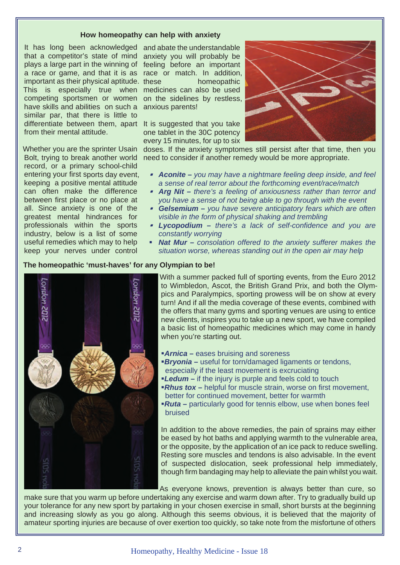#### **How homeopathy can help with anxiety**

It has long been acknowledged and abate the understandable that a competitor's state of mind plays a large part in the winning of feeling before an important a race or game, and that it is as race or match. In addition, important as their physical aptitude. This is especially true when medicines can also be used competing sportsmen or women on the sidelines by restless, have skills and abilities on such a anxious parents! similar par, that there is little to differentiate between them, apart It is suggested that you take from their mental attitude.

Whether you are the sprinter Usain Bolt, trying to break another world record, or a primary school-child entering your first sports day event, keeping a positive mental attitude can often make the difference between first place or no place at all. Since anxiety is one of the greatest mental hindrances for professionals within the sports industry, below is a list of some useful remedies which may to help keep your nerves under control

anxiety you will probably be homeopathic

one tablet in the 30C potency every 15 minutes, for up to six



doses. If the anxiety symptomes still persist after that time, then you need to consider if another remedy would be more appropriate.

- *Aconite – you may have a nightmare feeling deep inside, and feel a sense of real terror about the forthcoming event/race/match*
- *Arg Nit – there's a feeling of anxiousness rather than terror and you have a sense of not being able to go through with the event*
- *Gelsemium – you have severe anticipatory fears which are often visible in the form of physical shaking and trembling*
- *Lycopodium – there's a lack of self-confidence and you are constantly worrying*
- ß *Nat Mur – consolation offered to the anxiety sufferer makes the situation worse, whereas standing out in the open air may help*

### **The homeopathic 'must-haves' for any Olympian to be!**



With a summer packed full of sporting events, from the Euro 2012 to Wimbledon, Ascot, the British Grand Prix, and both the Olympics and Paralympics, sporting prowess will be on show at every turn! And if all the media coverage of these events, combined with the offers that many gyms and sporting venues are using to entice new clients, inspires you to take up a new sport, we have compiled a basic list of homeopathic medicines which may come in handy when you're starting out.

- **Arnica** eases bruising and soreness
- **Bryonia** useful for torn/damaged ligaments or tendons, especially if the least movement is excruciating
- **Ledum** if the injury is purple and feels cold to touch
- **Rhus tox** helpful for muscle strain, worse on first movement, better for continued movement, better for warmth
- ß*Ruta* **–** particularly good for tennis elbow, use when bones feel bruised

In addition to the above remedies, the pain of sprains may either be eased by hot baths and applying warmth to the vulnerable area, or the opposite, by the application of an ice pack to reduce swelling. Resting sore muscles and tendons is also advisable. In the event of suspected dislocation, seek professional help immediately, though firm bandaging may help to alleviate the pain whilst you wait.

As everyone knows, prevention is always better than cure, so

make sure that you warm up before undertaking any exercise and warm down after. Try to gradually build up your tolerance for any new sport by partaking in your chosen exercise in small, short bursts at the beginning and increasing slowly as you go along. Although this seems obvious, it is believed that the majority of amateur sporting injuries are because of over exertion too quickly, so take note from the misfortune of others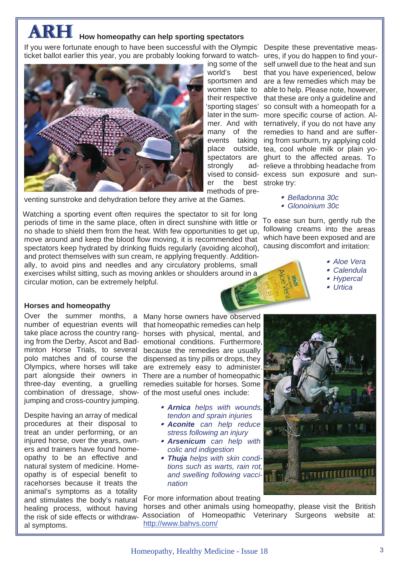### **ARH How homeopathy can help sporting spectators**

If you were fortunate enough to have been successful with the Olympic Despite these preventative measticket ballot earlier this year, you are probably looking forward to watch- ures, if you do happen to find your-



 $word's$ strongly er the methods of pre-

ing some of the self unwell due to the heat and sun best that you have experienced, below sportsmen and are a few remedies which may be women take to able to help. Please note, however, their respective that these are only a guideline and 'sporting stages' so consult with a homeopath for a later in the sum- more specific course of action. Almer. And with ternatively, if you do not have any many of the remedies to hand and are sufferevents taking ing from sunburn, try applying cold place outside, tea, cool whole milk or plain yospectators are ghurt to the affected areas. To ad- relieve a throbbing headache from vised to consid- excess sun exposure and sunbest stroke try:

venting sunstroke and dehydration before they arrive at the Games.

Watching a sporting event often requires the spectator to sit for long periods of time in the same place, often in direct sunshine with little or no shade to shield them from the heat. With few opportunities to get up, move around and keep the blood flow moving, it is recommended that spectators keep hydrated by drinking fluids regularly (avoiding alcohol), and protect themselves with sun cream, re applying frequently. Additionally, to avoid pins and needles and any circulatory problems, small exercises whilst sitting, such as moving ankles or shoulders around in a circular motion, can be extremely helpful.

 *Belladonna 30c Glonoinium 30c*

To ease sun burn, gently rub the following creams into the areas which have been exposed and are causing discomfort and irritation:

- *Aloe Vera*
	- *Calendula*
	- *Hypercal*
	- *Urtica*

### **Horses and homeopathy**

combination of dressage, show-of the most useful ones include: jumping and cross-country jumping.

Despite having an array of medical procedures at their disposal to treat an under performing, or an injured horse, over the years, owners and trainers have found homeopathy to be an effective and natural system of medicine. Homeopathy is of especial benefit to racehorses because it treats the animal's symptoms as a totality and stimulates the body's natural healing process, without having the risk of side effects or withdrawal symptoms.

Over the summer months, a Many horse owners have observed number of equestrian events will that homeopathic remedies can help take place across the country rang-horses with physical, mental, and ing from the Derby, Ascot and Bad-emotional conditions. Furthermore, minton Horse Trials, to several because the remedies are usually polo matches and of course the dispensed as tiny pills or drops, they Olympics, where horses will take are extremely easy to administer. part alongside their owners in There are a number of homeopathic three-day eventing, a gruelling remedies suitable for horses. Some

- *Arnica helps with wounds, tendon and sprain injuries*
- *Aconite can help reduce stress following an injury*
- *Arsenicum can help with colic and indigestion*
- *Thuja helps with skin conditions such as warts, rain rot, and swelling following vaccination*

For more information about treating

horses and other animals using homeopathy, please visit the British [Association of Homeopathic Veterinary Surgeons website at:]( http://www.bahvs.com/ ) http://www.bahvs.com/